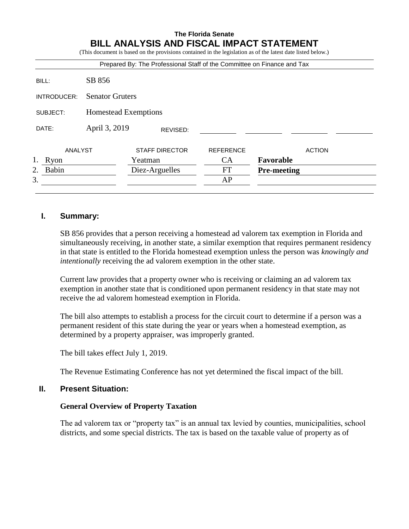#### **The Florida Senate BILL ANALYSIS AND FISCAL IMPACT STATEMENT**  $\mathbf{F}$  and on the provisions contained in the legislation as of the latest date listed below.)

|             |                        | Prepared By: The Professional Staff of the Committee on Finance and Tax |                  |                    |  |
|-------------|------------------------|-------------------------------------------------------------------------|------------------|--------------------|--|
| BILL:       | SB 856                 |                                                                         |                  |                    |  |
| INTRODUCER: | <b>Senator Gruters</b> |                                                                         |                  |                    |  |
| SUBJECT:    | Homestead Exemptions   |                                                                         |                  |                    |  |
| DATE:       | April 3, 2019          | REVISED:                                                                |                  |                    |  |
| ANALYST     |                        | <b>STAFF DIRECTOR</b>                                                   | <b>REFERENCE</b> | <b>ACTION</b>      |  |
| 1. Ryon     |                        | Yeatman                                                                 | CA               | Favorable          |  |
| Babin<br>2. |                        | Diez-Arguelles                                                          | <b>FT</b>        | <b>Pre-meeting</b> |  |
| 3.          |                        |                                                                         | AP               |                    |  |

# **I. Summary:**

SB 856 provides that a person receiving a homestead ad valorem tax exemption in Florida and simultaneously receiving, in another state, a similar exemption that requires permanent residency in that state is entitled to the Florida homestead exemption unless the person was *knowingly and intentionally* receiving the ad valorem exemption in the other state.

Current law provides that a property owner who is receiving or claiming an ad valorem tax exemption in another state that is conditioned upon permanent residency in that state may not receive the ad valorem homestead exemption in Florida.

The bill also attempts to establish a process for the circuit court to determine if a person was a permanent resident of this state during the year or years when a homestead exemption, as determined by a property appraiser, was improperly granted.

The bill takes effect July 1, 2019.

The Revenue Estimating Conference has not yet determined the fiscal impact of the bill.

# **II. Present Situation:**

## **General Overview of Property Taxation**

The ad valorem tax or "property tax" is an annual tax levied by counties, municipalities, school districts, and some special districts. The tax is based on the taxable value of property as of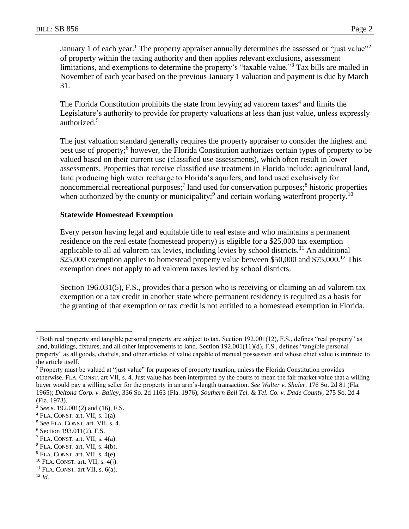January 1 of each year.<sup>1</sup> The property appraiser annually determines the assessed or "just value"<sup>2</sup> of property within the taxing authority and then applies relevant exclusions, assessment limitations, and exemptions to determine the property's "taxable value."<sup>3</sup> Tax bills are mailed in November of each year based on the previous January 1 valuation and payment is due by March 31.

The Florida Constitution prohibits the state from levying ad valorem taxes<sup>4</sup> and limits the Legislature's authority to provide for property valuations at less than just value, unless expressly authorized.<sup>5</sup>

The just valuation standard generally requires the property appraiser to consider the highest and best use of property;<sup>6</sup> however, the Florida Constitution authorizes certain types of property to be valued based on their current use (classified use assessments), which often result in lower assessments. Properties that receive classified use treatment in Florida include: agricultural land, land producing high water recharge to Florida's aquifers, and land used exclusively for noncommercial recreational purposes;<sup>7</sup> land used for conservation purposes;<sup>8</sup> historic properties when authorized by the county or municipality;<sup>9</sup> and certain working waterfront property.<sup>10</sup>

### **Statewide Homestead Exemption**

Every person having legal and equitable title to real estate and who maintains a permanent residence on the real estate (homestead property) is eligible for a \$25,000 tax exemption applicable to all ad valorem tax levies, including levies by school districts.<sup>11</sup> An additional \$25,000 exemption applies to homestead property value between \$50,000 and \$75,000.<sup>12</sup> This exemption does not apply to ad valorem taxes levied by school districts.

Section 196.031(5), F.S., provides that a person who is receiving or claiming an ad valorem tax exemption or a tax credit in another state where permanent residency is required as a basis for the granting of that exemption or tax credit is not entitled to a homestead exemption in Florida.

 $\overline{a}$ 

<sup>&</sup>lt;sup>1</sup> Both real property and tangible personal property are subject to tax. Section 192.001(12), F.S., defines "real property" as land, buildings, fixtures, and all other improvements to land. Section 192.001(11)(d), F.S., defines "tangible personal property" as all goods, chattels, and other articles of value capable of manual possession and whose chief value is intrinsic to the article itself.

<sup>2</sup> Property must be valued at "just value" for purposes of property taxation, unless the Florida Constitution provides otherwise. FLA. CONST. art VII, s. 4. Just value has been interpreted by the courts to mean the fair market value that a willing buyer would pay a willing seller for the property in an arm's-length transaction. *See Walter v. Shuler,* 176 So. 2d 81 (Fla. 1965); *Deltona Corp. v. Bailey*, 336 So. 2d 1163 (Fla. 1976); *Southern Bell Tel. & Tel. Co. v. Dade County,* 275 So. 2d 4 (Fla. 1973).

<sup>3</sup> *See* s. 192.001(2) and (16), F.S.

<sup>4</sup> FLA. CONST. art. VII, s. 1(a).

<sup>5</sup> *See* FLA. CONST. art. VII, s. 4.

<sup>6</sup> Section 193.011(2), F.S.

 $<sup>7</sup>$  FLA. CONST. art. VII, s. 4(a).</sup>

 $8$  FLA. CONST. art. VII, s. 4(b).

 $9$  FLA. CONST. art. VII, s. 4(e).

 $10$  FLA. CONST. art. VII, s. 4(j).

 $11$  FLA. CONST. art VII, s.  $6(a)$ .

<sup>12</sup> *Id.*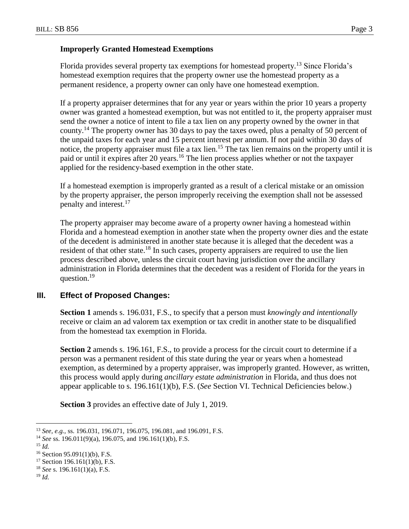### **Improperly Granted Homestead Exemptions**

Florida provides several property tax exemptions for homestead property.<sup>13</sup> Since Florida's homestead exemption requires that the property owner use the homestead property as a permanent residence, a property owner can only have one homestead exemption.

If a property appraiser determines that for any year or years within the prior 10 years a property owner was granted a homestead exemption, but was not entitled to it, the property appraiser must send the owner a notice of intent to file a tax lien on any property owned by the owner in that county.<sup>14</sup> The property owner has 30 days to pay the taxes owed, plus a penalty of 50 percent of the unpaid taxes for each year and 15 percent interest per annum. If not paid within 30 days of notice, the property appraiser must file a tax lien.<sup>15</sup> The tax lien remains on the property until it is paid or until it expires after 20 years.<sup>16</sup> The lien process applies whether or not the taxpayer applied for the residency-based exemption in the other state.

If a homestead exemption is improperly granted as a result of a clerical mistake or an omission by the property appraiser, the person improperly receiving the exemption shall not be assessed penalty and interest.<sup>17</sup>

The property appraiser may become aware of a property owner having a homestead within Florida and a homestead exemption in another state when the property owner dies and the estate of the decedent is administered in another state because it is alleged that the decedent was a resident of that other state.<sup>18</sup> In such cases, property appraisers are required to use the lien process described above, unless the circuit court having jurisdiction over the ancillary administration in Florida determines that the decedent was a resident of Florida for the years in question.<sup>19</sup>

# **III. Effect of Proposed Changes:**

**Section 1** amends s. 196.031, F.S., to specify that a person must *knowingly and intentionally* receive or claim an ad valorem tax exemption or tax credit in another state to be disqualified from the homestead tax exemption in Florida.

**Section 2** amends s. 196.161, F.S., to provide a process for the circuit court to determine if a person was a permanent resident of this state during the year or years when a homestead exemption, as determined by a property appraiser, was improperly granted. However, as written, this process would apply during *ancillary estate administration* in Florida, and thus does not appear applicable to s. 196.161(1)(b), F.S. (*See* Section VI. Technical Deficiencies below.)

**Section 3** provides an effective date of July 1, 2019.

 $\overline{a}$ 

<sup>13</sup> *See, e.g.,* ss. 196.031, 196.071, 196.075, 196.081, and 196.091, F.S.

<sup>14</sup> *See* ss. 196.011(9)(a), 196.075, and 196.161(1)(b), F.S.

<sup>15</sup> *Id.*

 $16$  Section 95.091(1)(b), F.S.

 $17$  Section 196.161(1)(b), F.S.

<sup>18</sup> *See* s. 196.161(1)(a), F.S.

<sup>19</sup> *Id.*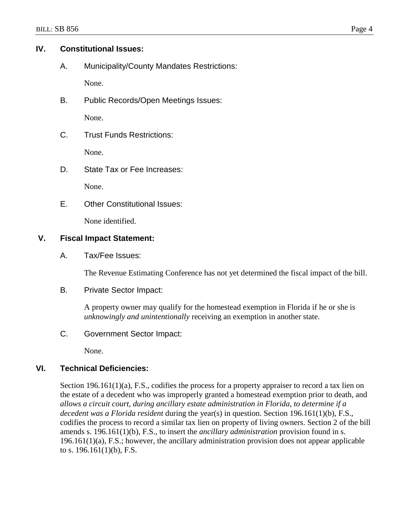# **IV. Constitutional Issues:**

A. Municipality/County Mandates Restrictions:

None.

B. Public Records/Open Meetings Issues:

None.

C. Trust Funds Restrictions:

None.

D. State Tax or Fee Increases:

None.

E. Other Constitutional Issues:

None identified.

# **V. Fiscal Impact Statement:**

A. Tax/Fee Issues:

The Revenue Estimating Conference has not yet determined the fiscal impact of the bill.

B. Private Sector Impact:

A property owner may qualify for the homestead exemption in Florida if he or she is *unknowingly and unintentionally* receiving an exemption in another state.

C. Government Sector Impact:

None.

# **VI. Technical Deficiencies:**

Section 196.161(1)(a), F.S., codifies the process for a property appraiser to record a tax lien on the estate of a decedent who was improperly granted a homestead exemption prior to death, and *allows a circuit court, during ancillary estate administration in Florida, to determine if a decedent was a Florida resident* during the year(s) in question. Section 196.161(1)(b), F.S., codifies the process to record a similar tax lien on property of living owners. Section 2 of the bill amends s. 196.161(1)(b), F.S., to insert the *ancillary administration* provision found in s. 196.161(1)(a), F.S.; however, the ancillary administration provision does not appear applicable to s. 196.161(1)(b), F.S.